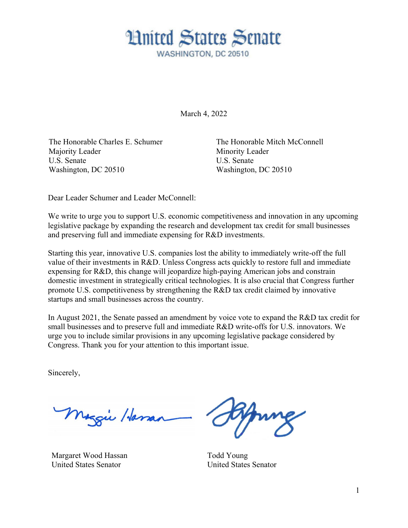

March 4, 2022

The Honorable Charles E. Schumer Majority Leader U.S. Senate Washington, DC 20510

The Honorable Mitch McConnell Minority Leader U.S. Senate Washington, DC 20510

Dear Leader Schumer and Leader McConnell:

We write to urge you to support U.S. economic competitiveness and innovation in any upcoming legislative package by expanding the research and development tax credit for small businesses and preserving full and immediate expensing for R&D investments.

Starting this year, innovative U.S. companies lost the ability to immediately write-off the full value of their investments in R&D. Unless Congress acts quickly to restore full and immediate expensing for R&D, this change will jeopardize high-paying American jobs and constrain domestic investment in strategically critical technologies. It is also crucial that Congress further promote U.S. competitiveness by strengthening the R&D tax credit claimed by innovative startups and small businesses across the country.

In August 2021, the Senate passed an amendment by voice vote to expand the R&D tax credit for small businesses and to preserve full and immediate R&D write-offs for U.S. innovators. We urge you to include similar provisions in any upcoming legislative package considered by Congress. Thank you for your attention to this important issue.

Sincerely,

Maggie Haman

Margaret Wood Hassan United States Senator

Todd Young United States Senator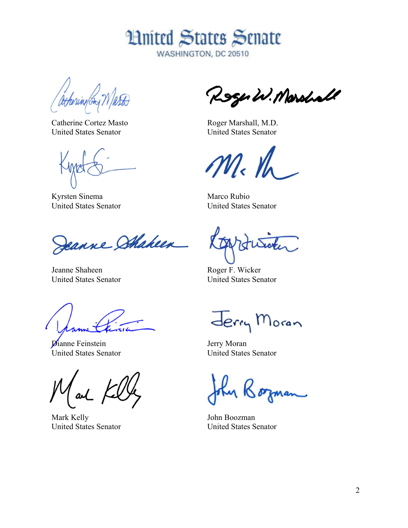

WASHINGTON, DC 20510

athering (Sta

Catherine Cortez Masto United States Senator

Kyrsten Sinema United States Senator

Jeanne Shakeen

Jeanne Shaheen United States Senator

**D**ianne Feinstein United States Senator

Mark Kelly United States Senator

Roger W. Marshall

Roger Marshall, M.D. United States Senator

 $\frac{1}{2}$  /

Marco Rubio United States Senator

Roger F. Wicker United States Senator

Jerry Moran

Jerry Moran United States Senator

John Boozman United States Senator